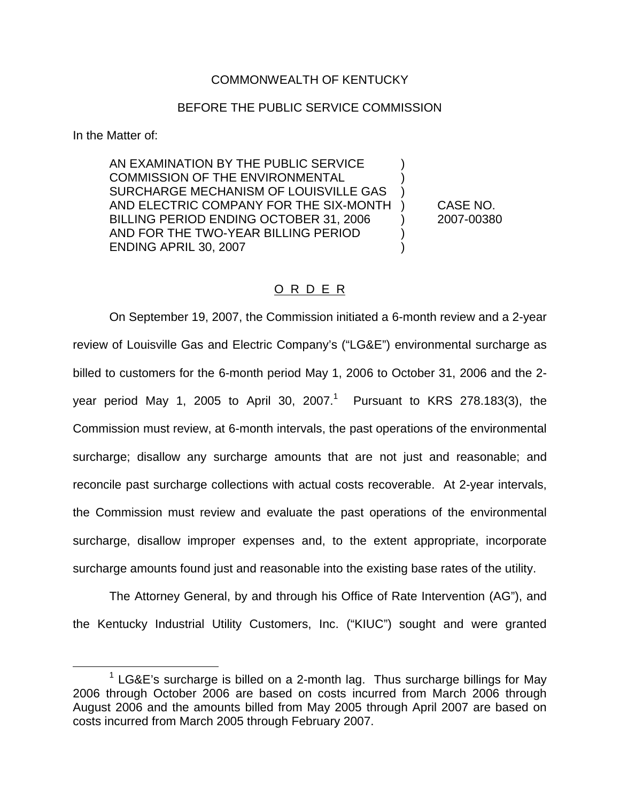## COMMONWEALTH OF KENTUCKY

## BEFORE THE PUBLIC SERVICE COMMISSION

In the Matter of:

AN EXAMINATION BY THE PUBLIC SERVICE ) COMMISSION OF THE ENVIRONMENTAL SURCHARGE MECHANISM OF LOUISVILLE GAS ) AND ELECTRIC COMPANY FOR THE SIX-MONTH ) CASE NO. BILLING PERIOD ENDING OCTOBER 31, 2006 (2007-00380) AND FOR THE TWO-YEAR BILLING PERIOD ENDING APRIL 30, 2007 )

# O R D E R

On September 19, 2007, the Commission initiated a 6-month review and a 2-year review of Louisville Gas and Electric Company's ("LG&E") environmental surcharge as billed to customers for the 6-month period May 1, 2006 to October 31, 2006 and the 2 year period May 1, 2005 to April 30, 2007.<sup>1</sup> Pursuant to KRS 278.183(3), the Commission must review, at 6-month intervals, the past operations of the environmental surcharge; disallow any surcharge amounts that are not just and reasonable; and reconcile past surcharge collections with actual costs recoverable. At 2-year intervals, the Commission must review and evaluate the past operations of the environmental surcharge, disallow improper expenses and, to the extent appropriate, incorporate surcharge amounts found just and reasonable into the existing base rates of the utility.

The Attorney General, by and through his Office of Rate Intervention (AG"), and the Kentucky Industrial Utility Customers, Inc. ("KIUC") sought and were granted

 $1$  LG&E's surcharge is billed on a 2-month lag. Thus surcharge billings for May 2006 through October 2006 are based on costs incurred from March 2006 through August 2006 and the amounts billed from May 2005 through April 2007 are based on costs incurred from March 2005 through February 2007.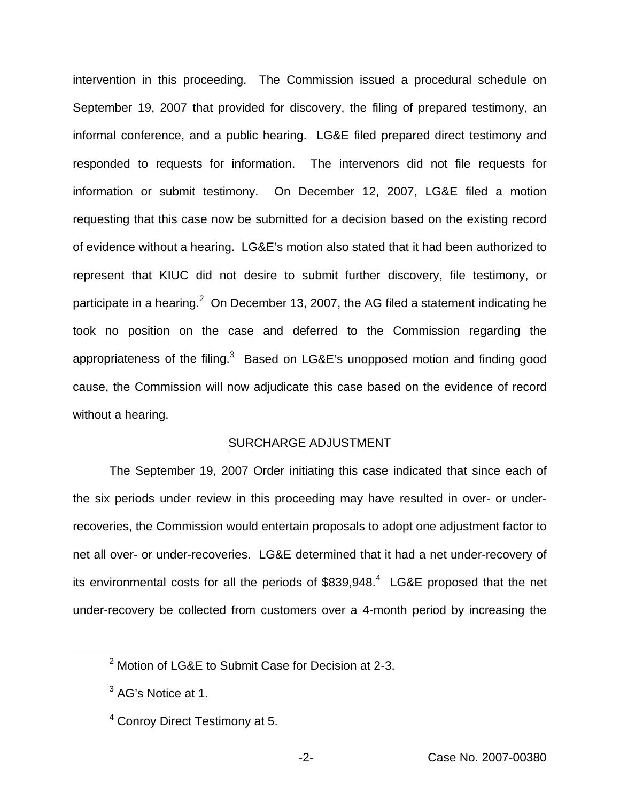intervention in this proceeding. The Commission issued a procedural schedule on September 19, 2007 that provided for discovery, the filing of prepared testimony, an informal conference, and a public hearing. LG&E filed prepared direct testimony and responded to requests for information. The intervenors did not file requests for information or submit testimony. On December 12, 2007, LG&E filed a motion requesting that this case now be submitted for a decision based on the existing record of evidence without a hearing. LG&E's motion also stated that it had been authorized to represent that KIUC did not desire to submit further discovery, file testimony, or participate in a hearing.<sup>2</sup> On December 13, 2007, the AG filed a statement indicating he took no position on the case and deferred to the Commission regarding the appropriateness of the filing.<sup>3</sup> Based on LG&E's unopposed motion and finding good cause, the Commission will now adjudicate this case based on the evidence of record without a hearing.

#### SURCHARGE ADJUSTMENT

The September 19, 2007 Order initiating this case indicated that since each of the six periods under review in this proceeding may have resulted in over- or underrecoveries, the Commission would entertain proposals to adopt one adjustment factor to net all over- or under-recoveries. LG&E determined that it had a net under-recovery of its environmental costs for all the periods of  $$839,948<sup>4</sup>$  LG&E proposed that the net under-recovery be collected from customers over a 4-month period by increasing the

<sup>2</sup> Motion of LG&E to Submit Case for Decision at 2-3.

<sup>&</sup>lt;sup>3</sup> AG's Notice at 1.

<sup>4</sup> Conroy Direct Testimony at 5.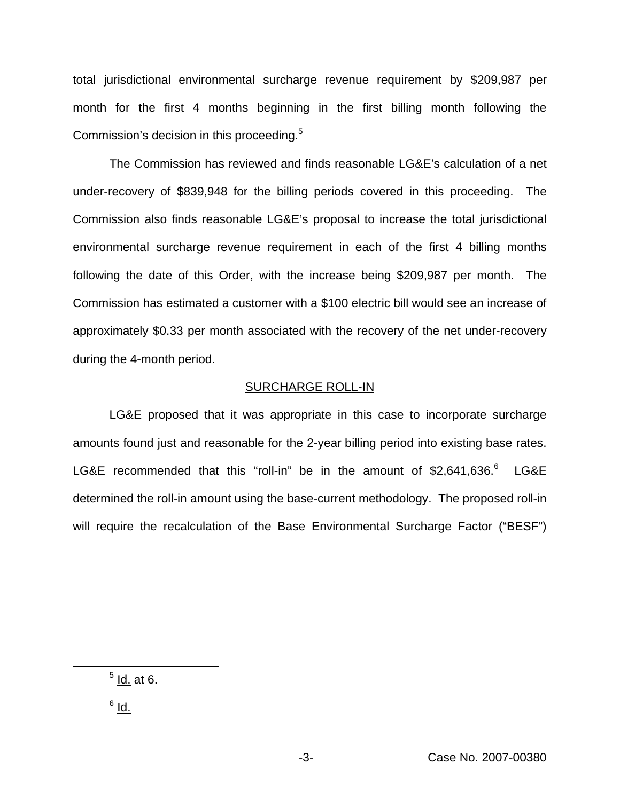total jurisdictional environmental surcharge revenue requirement by \$209,987 per month for the first 4 months beginning in the first billing month following the Commission's decision in this proceeding.<sup>5</sup>

The Commission has reviewed and finds reasonable LG&E's calculation of a net under-recovery of \$839,948 for the billing periods covered in this proceeding. The Commission also finds reasonable LG&E's proposal to increase the total jurisdictional environmental surcharge revenue requirement in each of the first 4 billing months following the date of this Order, with the increase being \$209,987 per month. The Commission has estimated a customer with a \$100 electric bill would see an increase of approximately \$0.33 per month associated with the recovery of the net under-recovery during the 4-month period.

#### SURCHARGE ROLL-IN

LG&E proposed that it was appropriate in this case to incorporate surcharge amounts found just and reasonable for the 2-year billing period into existing base rates. LG&E recommended that this "roll-in" be in the amount of \$2,641,636.<sup>6</sup> LG&E determined the roll-in amount using the base-current methodology. The proposed roll-in will require the recalculation of the Base Environmental Surcharge Factor ("BESF")

 $<sup>5</sup>$  Id. at 6.</sup>

 $^6$  Id.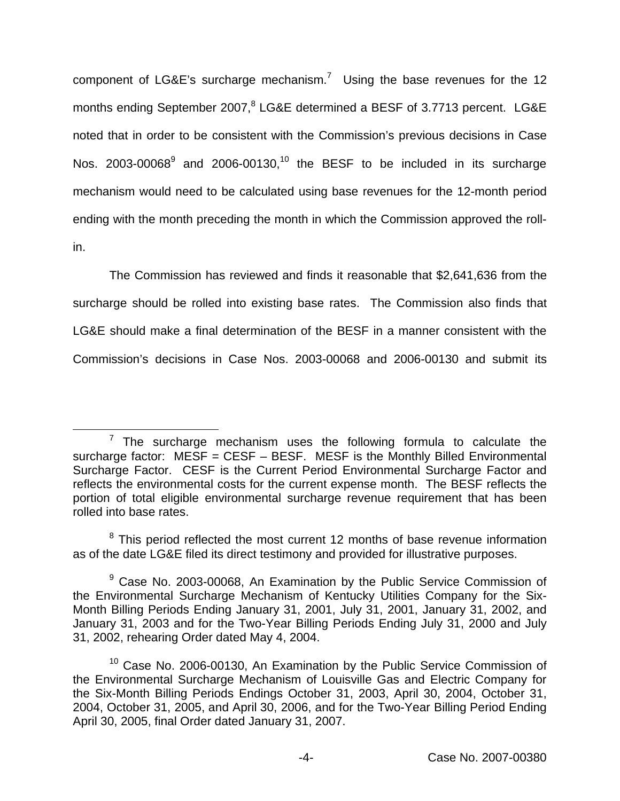component of  $LG\&E$ 's surcharge mechanism.<sup>7</sup> Using the base revenues for the 12 months ending September 2007,<sup>8</sup> LG&E determined a BESF of 3.7713 percent. LG&E noted that in order to be consistent with the Commission's previous decisions in Case Nos. 2003-00068 $9$  and 2006-00130,<sup>10</sup> the BESF to be included in its surcharge mechanism would need to be calculated using base revenues for the 12-month period ending with the month preceding the month in which the Commission approved the rollin.

The Commission has reviewed and finds it reasonable that \$2,641,636 from the surcharge should be rolled into existing base rates. The Commission also finds that LG&E should make a final determination of the BESF in a manner consistent with the Commission's decisions in Case Nos. 2003-00068 and 2006-00130 and submit its

 $<sup>7</sup>$  The surcharge mechanism uses the following formula to calculate the</sup> surcharge factor:  $MESF = CEST - BESF$ . MESF is the Monthly Billed Environmental Surcharge Factor. CESF is the Current Period Environmental Surcharge Factor and reflects the environmental costs for the current expense month. The BESF reflects the portion of total eligible environmental surcharge revenue requirement that has been rolled into base rates.

 $8$  This period reflected the most current 12 months of base revenue information as of the date LG&E filed its direct testimony and provided for illustrative purposes.

 $9$  Case No. 2003-00068, An Examination by the Public Service Commission of the Environmental Surcharge Mechanism of Kentucky Utilities Company for the Six-Month Billing Periods Ending January 31, 2001, July 31, 2001, January 31, 2002, and January 31, 2003 and for the Two-Year Billing Periods Ending July 31, 2000 and July 31, 2002, rehearing Order dated May 4, 2004.

<sup>&</sup>lt;sup>10</sup> Case No. 2006-00130, An Examination by the Public Service Commission of the Environmental Surcharge Mechanism of Louisville Gas and Electric Company for the Six-Month Billing Periods Endings October 31, 2003, April 30, 2004, October 31, 2004, October 31, 2005, and April 30, 2006, and for the Two-Year Billing Period Ending April 30, 2005, final Order dated January 31, 2007.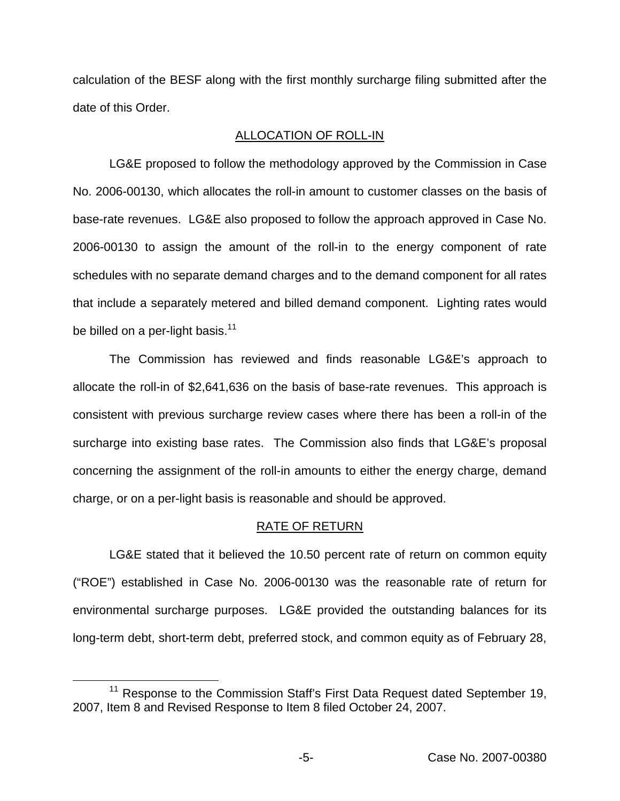calculation of the BESF along with the first monthly surcharge filing submitted after the date of this Order.

# ALLOCATION OF ROLL-IN

LG&E proposed to follow the methodology approved by the Commission in Case No. 2006-00130, which allocates the roll-in amount to customer classes on the basis of base-rate revenues. LG&E also proposed to follow the approach approved in Case No. 2006-00130 to assign the amount of the roll-in to the energy component of rate schedules with no separate demand charges and to the demand component for all rates that include a separately metered and billed demand component. Lighting rates would be billed on a per-light basis. $11$ 

The Commission has reviewed and finds reasonable LG&E's approach to allocate the roll-in of \$2,641,636 on the basis of base-rate revenues. This approach is consistent with previous surcharge review cases where there has been a roll-in of the surcharge into existing base rates. The Commission also finds that LG&E's proposal concerning the assignment of the roll-in amounts to either the energy charge, demand charge, or on a per-light basis is reasonable and should be approved.

# RATE OF RETURN

LG&E stated that it believed the 10.50 percent rate of return on common equity ("ROE") established in Case No. 2006-00130 was the reasonable rate of return for environmental surcharge purposes. LG&E provided the outstanding balances for its long-term debt, short-term debt, preferred stock, and common equity as of February 28,

<sup>&</sup>lt;sup>11</sup> Response to the Commission Staff's First Data Request dated September 19, 2007, Item 8 and Revised Response to Item 8 filed October 24, 2007.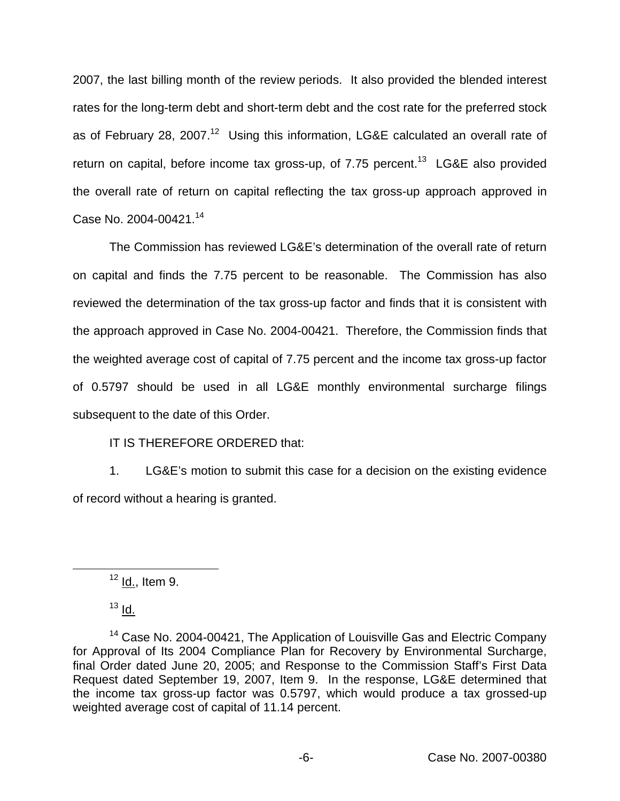2007, the last billing month of the review periods. It also provided the blended interest rates for the long-term debt and short-term debt and the cost rate for the preferred stock as of February 28, 2007.<sup>12</sup> Using this information, LG&E calculated an overall rate of return on capital, before income tax gross-up, of  $7.75$  percent.<sup>13</sup> LG&E also provided the overall rate of return on capital reflecting the tax gross-up approach approved in Case No. 2004-00421.14

The Commission has reviewed LG&E's determination of the overall rate of return on capital and finds the 7.75 percent to be reasonable. The Commission has also reviewed the determination of the tax gross-up factor and finds that it is consistent with the approach approved in Case No. 2004-00421. Therefore, the Commission finds that the weighted average cost of capital of 7.75 percent and the income tax gross-up factor of 0.5797 should be used in all LG&E monthly environmental surcharge filings subsequent to the date of this Order.

IT IS THEREFORE ORDERED that:

1. LG&E's motion to submit this case for a decision on the existing evidence of record without a hearing is granted.

 $12$  Id., Item 9.

 $13$  Id.

<sup>&</sup>lt;sup>14</sup> Case No. 2004-00421, The Application of Louisville Gas and Electric Company for Approval of Its 2004 Compliance Plan for Recovery by Environmental Surcharge, final Order dated June 20, 2005; and Response to the Commission Staff's First Data Request dated September 19, 2007, Item 9. In the response, LG&E determined that the income tax gross-up factor was 0.5797, which would produce a tax grossed-up weighted average cost of capital of 11.14 percent.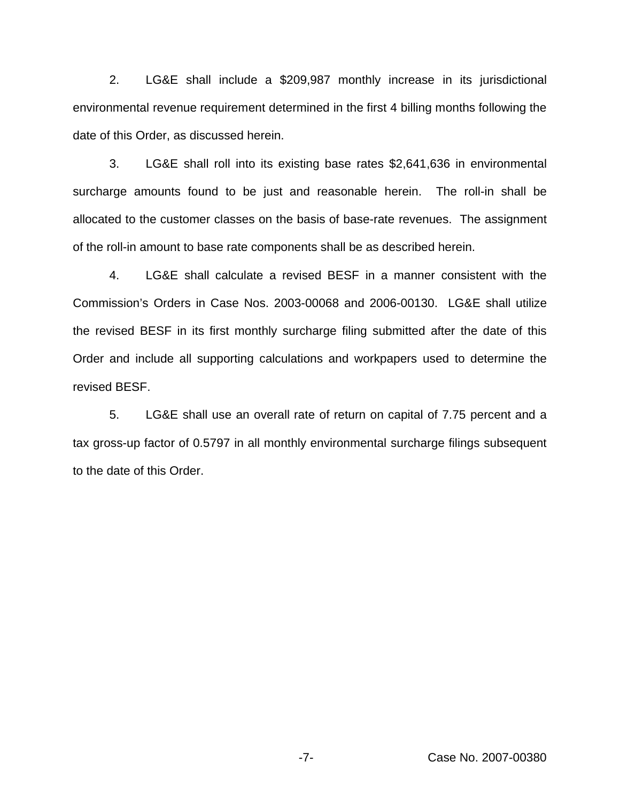2. LG&E shall include a \$209,987 monthly increase in its jurisdictional environmental revenue requirement determined in the first 4 billing months following the date of this Order, as discussed herein.

3. LG&E shall roll into its existing base rates \$2,641,636 in environmental surcharge amounts found to be just and reasonable herein. The roll-in shall be allocated to the customer classes on the basis of base-rate revenues. The assignment of the roll-in amount to base rate components shall be as described herein.

4. LG&E shall calculate a revised BESF in a manner consistent with the Commission's Orders in Case Nos. 2003-00068 and 2006-00130. LG&E shall utilize the revised BESF in its first monthly surcharge filing submitted after the date of this Order and include all supporting calculations and workpapers used to determine the revised BESF.

5. LG&E shall use an overall rate of return on capital of 7.75 percent and a tax gross-up factor of 0.5797 in all monthly environmental surcharge filings subsequent to the date of this Order.